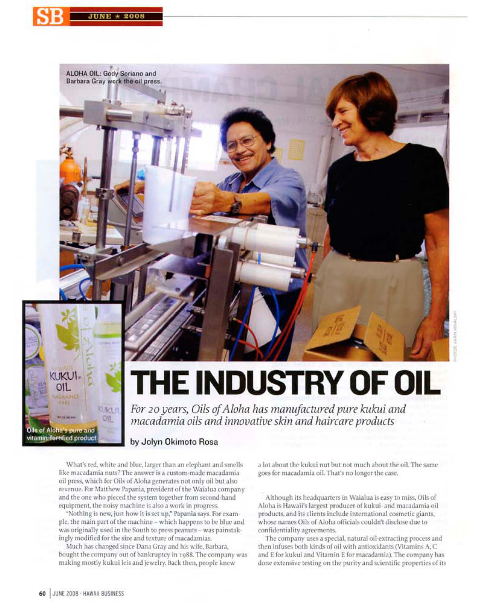



ALOHA OIL: Gody Soriano and Barbara Gray work the oil press.



## **THE INDUSTRY OF OIL**

For 20 years, Oils of Aloha has manufactured pure kukui and<br>macadamia oils and innovative skin and haircare products

## by Jolyn Okimoto Rosa

What's red, white and blue, larger than an elephant and smells like macadamia nuts? The answer is a custom-made macadamia oil press, which for Oils of Aloha generates not only oil but also revenue. For Matthew Papania, president of the Waialua company and the one who pieced the system together from second-hand equipment, the noisy machine is also a work in progress.

"Nothing is new, just how it is set up," Papania says. For example, the main part of the machine - which happens to be blue and was originally used in the South to press peanuts - was painstakingly modified for the size and texture of macadamias.

Much has changed since Dana Gray and his wife, Barbara, bought the company out of bankruptcy in 1988. The company was making mostly kukui leis and jewelry. Back then, people knew

a lot about the kukui nut but not much about the oil. The same goes for macadamia oil. That's no longer the case,

Although its headquarters in Waialua is easy to miss, Oils of Aloha is Hawaii's largest producer of kukui- and macadamia-oil products, and its clients include international cosmetic giants, whose names Oils of Aloha officials couldn't disclose due to confidentiality agreements.

The company uses a special, natural oil extracting process and then infuses both kinds of oil with antioxidants (Vitamins A, C and E for kukui and Vitamin E for macadamia). The company has done extensive testing on the purity and scientific properties of its